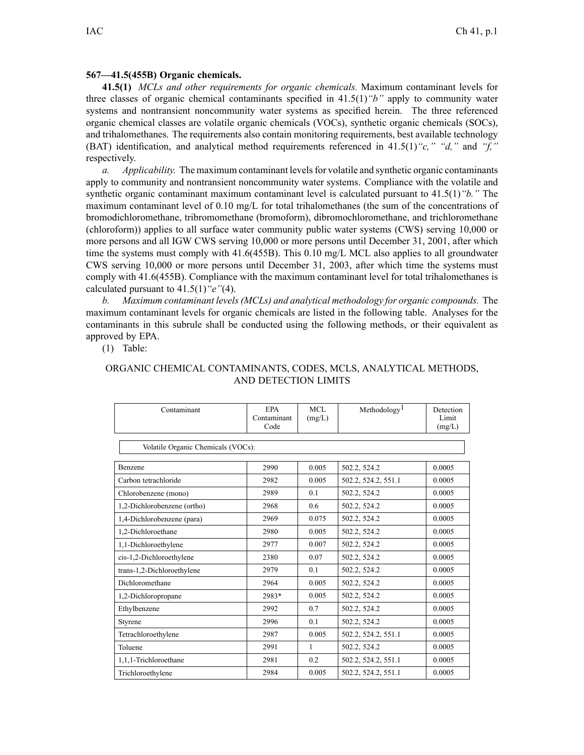## **567—41.5(455B) Organic chemicals.**

**41.5(1)** *MCLs and other requirements for organic chemicals.* Maximum contaminant levels for three classes of organic chemical contaminants specified in 41.5(1)*"b"* apply to community water systems and nontransient noncommunity water systems as specified herein. The three referenced organic chemical classes are volatile organic chemicals (VOCs), synthetic organic chemicals (SOCs), and trihalomethanes. The requirements also contain monitoring requirements, best available technology (BAT) identification, and analytical method requirements referenced in 41.5(1)*"c," "d,"* and *"f,"* respectively.

*a. Applicability.* The maximum contaminant levelsfor volatile and synthetic organic contaminants apply to community and nontransient noncommunity water systems. Compliance with the volatile and synthetic organic contaminant maximum contaminant level is calculated pursuan<sup>t</sup> to 41.5(1)*"b."* The maximum contaminant level of 0.10 mg/L for total trihalomethanes (the sum of the concentrations of bromodichloromethane, tribromomethane (bromoform), dibromochloromethane, and trichloromethane (chloroform)) applies to all surface water community public water systems (CWS) serving 10,000 or more persons and all IGW CWS serving 10,000 or more persons until December 31, 2001, after which time the systems must comply with 41.6(455B). This 0.10 mg/L MCL also applies to all groundwater CWS serving 10,000 or more persons until December 31, 2003, after which time the systems must comply with 41.6(455B). Compliance with the maximum contaminant level for total trihalomethanes is calculated pursuan<sup>t</sup> to 41.5(1)*"e"*(4).

*b. Maximum contaminant levels(MCLs) and analytical methodology for organic compounds.* The maximum contaminant levels for organic chemicals are listed in the following table. Analyses for the contaminants in this subrule shall be conducted using the following methods, or their equivalent as approved by EPA.

(1) Table:

## ORGANIC CHEMICAL CONTAMINANTS, CODES, MCLS, ANALYTICAL METHODS, AND DETECTION LIMITS

| Contaminant                        | <b>EPA</b><br>Contaminant<br>Code | MCL<br>(mg/L) | Methodology <sup>1</sup> | Detection<br>Limit<br>(mg/L) |
|------------------------------------|-----------------------------------|---------------|--------------------------|------------------------------|
| Volatile Organic Chemicals (VOCs): |                                   |               |                          |                              |
| Benzene                            | 2990                              | 0.005         | 502.2, 524.2             | 0.0005                       |
| Carbon tetrachloride               | 2982                              | 0.005         | 502.2, 524.2, 551.1      | 0.0005                       |
| Chlorobenzene (mono)               | 2989                              | 0.1           | 502.2, 524.2             | 0.0005                       |
| 1,2-Dichlorobenzene (ortho)        | 2968                              | 0.6           | 502.2, 524.2             | 0.0005                       |
| 1,4-Dichlorobenzene (para)         | 2969                              | 0.075         | 502.2, 524.2             | 0.0005                       |
| 1,2-Dichloroethane                 | 2980                              | 0.005         | 502.2, 524.2             | 0.0005                       |
| 1,1-Dichloroethylene               | 2977                              | 0.007         | 502.2, 524.2             | 0.0005                       |
| cis-1,2-Dichloroethylene           | 2380                              | 0.07          | 502.2, 524.2             | 0.0005                       |
| trans-1,2-Dichloroethylene         | 2979                              | 0.1           | 502.2, 524.2             | 0.0005                       |
| Dichloromethane                    | 2964                              | 0.005         | 502.2, 524.2             | 0.0005                       |
| 1,2-Dichloropropane                | 2983*                             | 0.005         | 502.2, 524.2             | 0.0005                       |
| Ethylbenzene                       | 2992                              | 0.7           | 502.2, 524.2             | 0.0005                       |
| Styrene                            | 2996                              | 0.1           | 502.2, 524.2             | 0.0005                       |
| Tetrachloroethylene                | 2987                              | 0.005         | 502.2, 524.2, 551.1      | 0.0005                       |
| Toluene                            | 2991                              | 1             | 502.2, 524.2             | 0.0005                       |
| 1,1,1-Trichloroethane              | 2981                              | 0.2           | 502.2, 524.2, 551.1      | 0.0005                       |
| Trichloroethylene                  | 2984                              | 0.005         | 502.2, 524.2, 551.1      | 0.0005                       |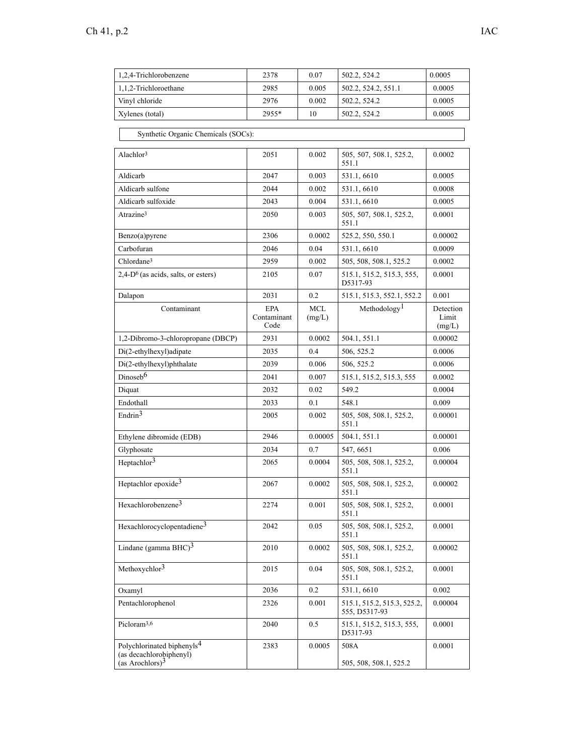| 1,2,4-Trichlorobenzene | 2378  | 0.07  | 502.2, 524.2        | 0.0005 |
|------------------------|-------|-------|---------------------|--------|
| 1,1,2-Trichloroethane  | 2985  | 0.005 | 502.2, 524.2, 551.1 | 0.0005 |
| Vinyl chloride         | 2976  | 0.002 | 502.2, 524.2        | 0.0005 |
| Xylenes (total)        | 2955* | 10    | 502.2, 524.2        | 0.0005 |

Synthetic Organic Chemicals (SOCs):

| Alachlor <sup>3</sup>                                                                   | 2051                              | 0.002                | 505, 507, 508.1, 525.2,<br>551.1             | 0.0002                       |
|-----------------------------------------------------------------------------------------|-----------------------------------|----------------------|----------------------------------------------|------------------------------|
| Aldicarb                                                                                | 2047                              | 0.003                | 531.1, 6610                                  | 0.0005                       |
| Aldicarb sulfone                                                                        | 2044                              | 0.002                | 531.1, 6610                                  | 0.0008                       |
| Aldicarb sulfoxide                                                                      | 2043                              | 0.004                | 531.1, 6610                                  | 0.0005                       |
| Atrazine <sup>3</sup>                                                                   | 2050                              | 0.003                | 505, 507, 508.1, 525.2,<br>551.1             | 0.0001                       |
| Benzo(a)pyrene                                                                          | 2306                              | 0.0002               | 525.2, 550, 550.1                            | 0.00002                      |
| Carbofuran                                                                              | 2046                              | 0.04                 | 531.1, 6610                                  | 0.0009                       |
| Chlordane <sup>3</sup>                                                                  | 2959                              | 0.002                | 505, 508, 508.1, 525.2                       | 0.0002                       |
| $2,4-D6$ (as acids, salts, or esters)                                                   | 2105                              | 0.07                 | 515.1, 515.2, 515.3, 555,<br>D5317-93        | 0.0001                       |
| Dalapon                                                                                 | 2031                              | 0.2                  | 515.1, 515.3, 552.1, 552.2                   | 0.001                        |
| Contaminant                                                                             | <b>EPA</b><br>Contaminant<br>Code | <b>MCL</b><br>(mg/L) | Methodology <sup>1</sup>                     | Detection<br>Limit<br>(mg/L) |
| 1,2-Dibromo-3-chloropropane (DBCP)                                                      | 2931                              | 0.0002               | 504.1, 551.1                                 | 0.00002                      |
| Di(2-ethylhexyl)adipate                                                                 | 2035                              | 0.4                  | 506, 525.2                                   | 0.0006                       |
| Di(2-ethylhexyl)phthalate                                                               | 2039                              | 0.006                | 506, 525.2                                   | 0.0006                       |
| Dinoseb <sup>6</sup>                                                                    | 2041                              | 0.007                | 515.1, 515.2, 515.3, 555                     | 0.0002                       |
| Diquat                                                                                  | 2032                              | 0.02                 | 549.2                                        | 0.0004                       |
| Endothall                                                                               | 2033                              | 0.1                  | 548.1                                        | 0.009                        |
| Endrin $3$                                                                              | 2005                              | 0.002                | 505, 508, 508.1, 525.2,<br>551.1             | 0.00001                      |
| Ethylene dibromide (EDB)                                                                | 2946                              | 0.00005              | 504.1, 551.1                                 | 0.00001                      |
| Glyphosate                                                                              | 2034                              | 0.7                  | 547, 6651                                    | 0.006                        |
| Heptachlor <sup>3</sup>                                                                 | 2065                              | 0.0004               | 505, 508, 508.1, 525.2,<br>551.1             | 0.00004                      |
| Heptachlor epoxide <sup>3</sup>                                                         | 2067                              | 0.0002               | 505, 508, 508.1, 525.2,<br>551.1             | 0.00002                      |
| Hexachlorobenzene <sup>3</sup>                                                          | 2274                              | 0.001                | 505, 508, 508.1, 525.2,<br>551.1             | 0.0001                       |
| Hexachlorocyclopentadiene <sup>3</sup>                                                  | 2042                              | 0.05                 | 505, 508, 508.1, 525.2,<br>551.1             | 0.0001                       |
| Lindane (gamma $BHC$ ) <sup>3</sup>                                                     | 2010                              | 0.0002               | 505, 508, 508.1, 525.2,<br>551.1             | 0.00002                      |
| Methoxychlor <sup>3</sup>                                                               | 2015                              | 0.04                 | 505, 508, 508.1, 525.2.<br>551.1             | 0.0001                       |
| Oxamyl                                                                                  | 2036                              | 0.2                  | 531.1, 6610                                  | 0.002                        |
| Pentachlorophenol                                                                       | 2326                              | 0.001                | 515.1, 515.2, 515.3, 525.2,<br>555, D5317-93 | 0.00004                      |
| Picloram <sup>3,6</sup>                                                                 | 2040                              | 0.5                  | 515.1, 515.2, 515.3, 555,<br>D5317-93        | 0.0001                       |
| Polychlorinated biphenyls <sup>4</sup><br>(as decachlorobiphenyl)<br>(as Arochlors) $3$ | 2383                              | 0.0005               | 508A<br>505, 508, 508.1, 525.2               | 0.0001                       |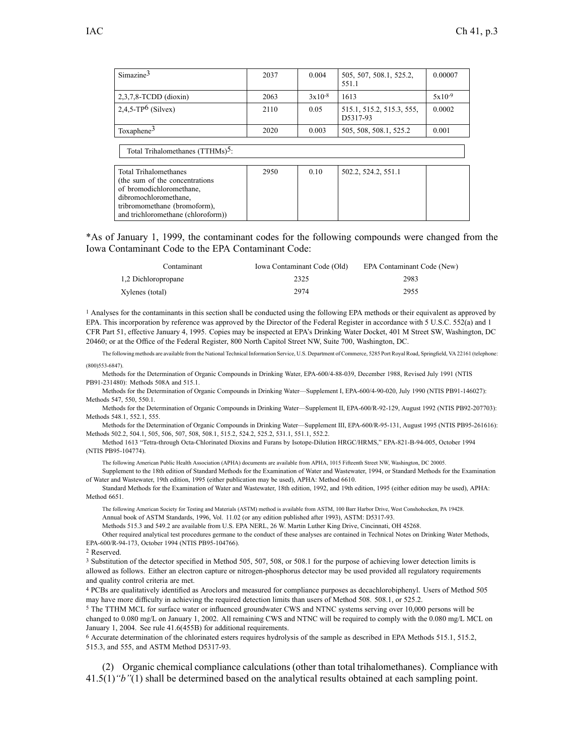| Simazine <sup>3</sup>                                                                                                                         | 2037 | 0.004    | 505, 507, 508.1, 525.2,<br>551.1      | 0.00007  |
|-----------------------------------------------------------------------------------------------------------------------------------------------|------|----------|---------------------------------------|----------|
| $2,3,7,8$ -TCDD (dioxin)                                                                                                                      | 2063 | $3x10-8$ | 1613                                  | $5x10-9$ |
| $2,4,5$ -TP <sup>6</sup> (Silvex)                                                                                                             | 2110 | 0.05     | 515.1, 515.2, 515.3, 555,<br>D5317-93 | 0.0002   |
| Toxaphene $3$                                                                                                                                 | 2020 | 0.003    | 505, 508, 508.1, 525.2                | 0.001    |
| Total Trihalomethanes (TTHMs) <sup>5</sup> :                                                                                                  |      |          |                                       |          |
| Total Trihalomethanes<br>(the sum of the concentrations)<br>of bromodichloromethane.<br>dibromochloromethane.<br>tribromomethane (bromoform). | 2950 | 0.10     | 502.2, 524.2, 551.1                   |          |

\*As of January 1, 1999, the contaminant codes for the following compounds were changed from the Iowa Contaminant Code to the EPA Contaminant Code:

| Contaminant         | Iowa Contaminant Code (Old) | EPA Contaminant Code (New) |
|---------------------|-----------------------------|----------------------------|
| 1,2 Dichloropropane | 2325                        | 2983                       |
| Xylenes (total)     | 2974                        | 2955                       |

<sup>1</sup> Analyses for the contaminants in this section shall be conducted using the following EPA methods or their equivalent as approved by EPA. This incorporation by reference was approved by the Director of the Federal Register in accordance with 5 U.S.C. 552(a) and 1 CFR Part 51, effective January 4, 1995. Copies may be inspected at EPA's Drinking Water Docket, 401 M Street SW, Washington, DC 20460; or at the Office of the Federal Register, 800 North Capitol Street NW, Suite 700, Washington, DC.

The following methods are available from the National Technical Information Service, U.S. Department of Commerce, 5285 Port Royal Road, Springfield, VA 22161 (telephone: (800)553-6847).

Methods for the Determination of Organic Compounds in Drinking Water, EPA-600/4-88-039, December 1988, Revised July 1991 (NTIS PB91-231480): Methods 508A and 515.1.

Methods for the Determination of Organic Compounds in Drinking Water—Supplement I, EPA-600/4-90-020, July 1990 (NTIS PB91-146027): Methods 547, 550, 550.1.

Methods for the Determination of Organic Compounds in Drinking Water—Supplement II, EPA-600/R-92-129, August 1992 (NTIS PB92-207703): Methods 548.1, 552.1, 555.

Methods for the Determination of Organic Compounds in Drinking Water—Supplement III, EPA-600/R-95-131, August 1995 (NTIS PB95-261616): Methods 502.2, 504.1, 505, 506, 507, 508, 508.1, 515.2, 524.2, 525.2, 531.1, 551.1, 552.2.

Method 1613 "Tetra-through Octa-Chlorinated Dioxins and Furans by Isotope-Dilution HRGC/HRMS," EPA-821-B-94-005, October 1994 (NTIS PB95-104774).

The following American Public Health Association (APHA) documents are available from APHA, 1015 Fifteenth Street NW, Washington, DC 20005.

Supplement to the 18th edition of Standard Methods for the Examination of Water and Wastewater, 1994, or Standard Methods for the Examination of Water and Wastewater, 19th edition, 1995 (either publication may be used), APHA: Method 6610.

Standard Methods for the Examination of Water and Wastewater, 18th edition, 1992, and 19th edition, 1995 (either edition may be used), APHA: Method 6651.

The following American Society for Testing and Materials (ASTM) method is available from ASTM, 100 Barr Harbor Drive, West Conshohocken, PA 19428. Annual book of ASTM Standards, 1996, Vol. 11.02 (or any edition published after 1993), ASTM: D5317-93.

Methods 515.3 and 549.2 are available from U.S. EPA NERL, 26 W. Martin Luther King Drive, Cincinnati, OH 45268.

Other required analytical test procedures germane to the conduct of these analyses are contained in Technical Notes on Drinking Water Methods, EPA-600/R-94-173, October 1994 (NTIS PB95-104766).

<sup>2</sup> Reserved.

<sup>3</sup> Substitution of the detector specified in Method 505, 507, 508, or 508.1 for the purpose of achieving lower detection limits is allowed as follows. Either an electron capture or nitrogen-phosphorus detector may be used provided all regulatory requirements and quality control criteria are met.

<sup>4</sup> PCBs are qualitatively identified as Aroclors and measured for compliance purposes as decachlorobiphenyl. Users of Method 505 may have more difficulty in achieving the required detection limits than users of Method 508. 508.1, or 525.2.

<sup>5</sup> The TTHM MCL for surface water or influenced groundwater CWS and NTNC systems serving over 10,000 persons will be changed to 0.080 mg/L on January 1, 2002. All remaining CWS and NTNC will be required to comply with the 0.080 mg/L MCL on January 1, 2004. See rule 41.6(455B) for additional requirements.

<sup>6</sup> Accurate determination of the chlorinated esters requires hydrolysis of the sample as described in EPA Methods 515.1, 515.2, 515.3, and 555, and ASTM Method D5317-93.

(2) Organic chemical compliance calculations (other than total trihalomethanes). Compliance with 41.5(1)*"b"*(1) shall be determined based on the analytical results obtained at each sampling point.

and trichloromethane (chloroform))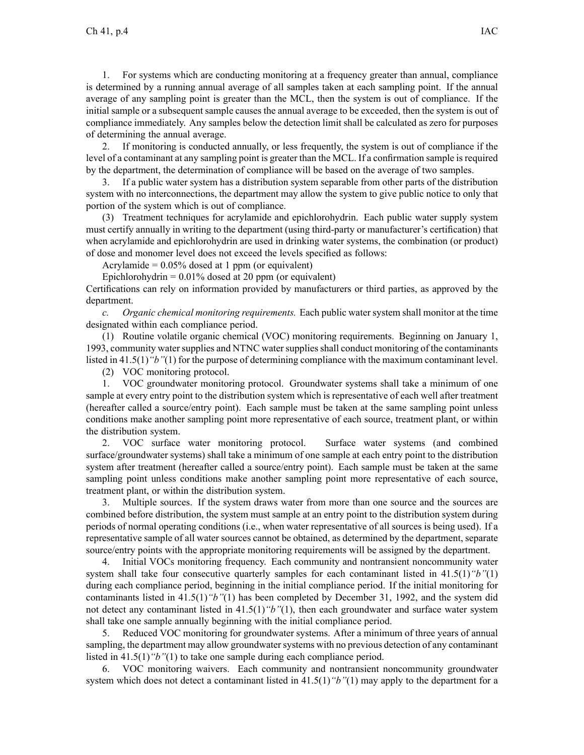1. For systems which are conducting monitoring at <sup>a</sup> frequency greater than annual, compliance is determined by <sup>a</sup> running annual average of all samples taken at each sampling point. If the annual average of any sampling point is greater than the MCL, then the system is out of compliance. If the initial sample or <sup>a</sup> subsequent sample causes the annual average to be exceeded, then the system is out of compliance immediately. Any samples below the detection limit shall be calculated as zero for purposes of determining the annual average.

2. If monitoring is conducted annually, or less frequently, the system is out of compliance if the level of <sup>a</sup> contaminant at any sampling point is greater than the MCL. If <sup>a</sup> confirmation sample isrequired by the department, the determination of compliance will be based on the average of two samples.

3. If <sup>a</sup> public water system has <sup>a</sup> distribution system separable from other parts of the distribution system with no interconnections, the department may allow the system to give public notice to only that portion of the system which is out of compliance.

(3) Treatment techniques for acrylamide and epichlorohydrin. Each public water supply system must certify annually in writing to the department (using third-party or manufacturer's certification) that when acrylamide and epichlorohydrin are used in drinking water systems, the combination (or product) of dose and monomer level does not exceed the levels specified as follows:

Acrylamide =  $0.05\%$  dosed at 1 ppm (or equivalent)

Epichlorohydrin =  $0.01\%$  dosed at 20 ppm (or equivalent)

Certifications can rely on information provided by manufacturers or third parties, as approved by the department.

*c. Organic chemical monitoring requirements.* Each public water system shall monitor at the time designated within each compliance period.

(1) Routine volatile organic chemical (VOC) monitoring requirements. Beginning on January 1, 1993, community water supplies and NTNC water supplies shall conduct monitoring of the contaminants listed in 41.5(1)*"b"*(1) for the purpose of determining compliance with the maximum contaminant level.

(2) VOC monitoring protocol.

1. VOC groundwater monitoring protocol. Groundwater systems shall take <sup>a</sup> minimum of one sample at every entry point to the distribution system which is representative of each well after treatment (hereafter called <sup>a</sup> source/entry point). Each sample must be taken at the same sampling point unless conditions make another sampling point more representative of each source, treatment plant, or within the distribution system.

2. VOC surface water monitoring protocol. Surface water systems (and combined surface/groundwater systems) shall take <sup>a</sup> minimum of one sample at each entry point to the distribution system after treatment (hereafter called <sup>a</sup> source/entry point). Each sample must be taken at the same sampling point unless conditions make another sampling point more representative of each source, treatment plant, or within the distribution system.

3. Multiple sources. If the system draws water from more than one source and the sources are combined before distribution, the system must sample at an entry point to the distribution system during periods of normal operating conditions (i.e., when water representative of all sources is being used). If <sup>a</sup> representative sample of all water sources cannot be obtained, as determined by the department, separate source/entry points with the appropriate monitoring requirements will be assigned by the department.

4. Initial VOCs monitoring frequency. Each community and nontransient noncommunity water system shall take four consecutive quarterly samples for each contaminant listed in 41.5(1)*"b"*(1) during each compliance period, beginning in the initial compliance period. If the initial monitoring for contaminants listed in 41.5(1)*"b"*(1) has been completed by December 31, 1992, and the system did not detect any contaminant listed in 41.5(1)*"b"*(1), then each groundwater and surface water system shall take one sample annually beginning with the initial compliance period.

5. Reduced VOC monitoring for groundwater systems. After <sup>a</sup> minimum of three years of annual sampling, the department may allow groundwater systems with no previous detection of any contaminant listed in 41.5(1)*"b"*(1) to take one sample during each compliance period.

6. VOC monitoring waivers. Each community and nontransient noncommunity groundwater system which does not detect <sup>a</sup> contaminant listed in 41.5(1)*"b"*(1) may apply to the department for <sup>a</sup>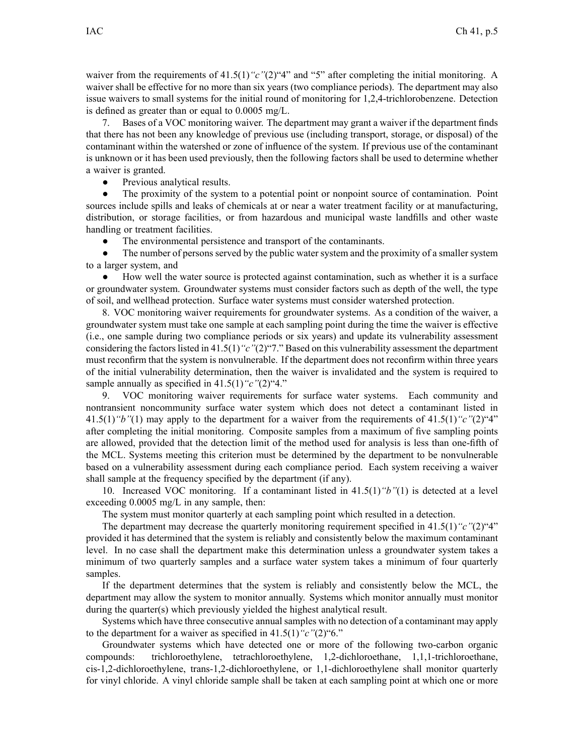waiver from the requirements of 41.5(1)<sup>"</sup>c"(2)<sup>"4"</sup> and "5" after completing the initial monitoring. A waiver shall be effective for no more than six years (two compliance periods). The department may also issue waivers to small systems for the initial round of monitoring for 1,2,4-trichlorobenzene. Detection is defined as greater than or equal to 0.0005 mg/L.

7. Bases of <sup>a</sup> VOC monitoring waiver. The department may gran<sup>t</sup> <sup>a</sup> waiver if the department finds that there has not been any knowledge of previous use (including transport, storage, or disposal) of the contaminant within the watershed or zone of influence of the system. If previous use of the contaminant is unknown or it has been used previously, then the following factors shall be used to determine whether <sup>a</sup> waiver is granted.

 $\bullet$ Previous analytical results.

● The proximity of the system to <sup>a</sup> potential point or nonpoint source of contamination. Point sources include spills and leaks of chemicals at or near <sup>a</sup> water treatment facility or at manufacturing, distribution, or storage facilities, or from hazardous and municipal waste landfills and other waste handling or treatment facilities.

●The environmental persistence and transport of the contaminants.

● The number of persons served by the public water system and the proximity of <sup>a</sup> smaller system to <sup>a</sup> larger system, and

● How well the water source is protected against contamination, such as whether it is <sup>a</sup> surface or groundwater system. Groundwater systems must consider factors such as depth of the well, the type of soil, and wellhead protection. Surface water systems must consider watershed protection.

8. VOC monitoring waiver requirements for groundwater systems. As <sup>a</sup> condition of the waiver, <sup>a</sup> groundwater system must take one sample at each sampling point during the time the waiver is effective (i.e., one sample during two compliance periods or six years) and update its vulnerability assessment considering the factors listed in 41.5(1)<sup>"</sup>c"(2)"7." Based on this vulnerability assessment the department must reconfirm that the system is nonvulnerable. If the department does not reconfirm within three years of the initial vulnerability determination, then the waiver is invalidated and the system is required to sample annually as specified in 41.5(1)*"c"*(2)"4."

9. VOC monitoring waiver requirements for surface water systems. Each community and nontransient noncommunity surface water system which does not detect <sup>a</sup> contaminant listed in 41.5(1)*"b"*(1) may apply to the department for <sup>a</sup> waiver from the requirements of 41.5(1)*"c"*(2)"4" after completing the initial monitoring. Composite samples from <sup>a</sup> maximum of five sampling points are allowed, provided that the detection limit of the method used for analysis is less than one-fifth of the MCL. Systems meeting this criterion must be determined by the department to be nonvulnerable based on <sup>a</sup> vulnerability assessment during each compliance period. Each system receiving <sup>a</sup> waiver shall sample at the frequency specified by the department (if any).

10. Increased VOC monitoring. If <sup>a</sup> contaminant listed in 41.5(1)*"b"*(1) is detected at <sup>a</sup> level exceeding 0.0005 mg/L in any sample, then:

The system must monitor quarterly at each sampling point which resulted in <sup>a</sup> detection.

The department may decrease the quarterly monitoring requirement specified in 41.5(1)*"c"*(2)"4" provided it has determined that the system is reliably and consistently below the maximum contaminant level. In no case shall the department make this determination unless <sup>a</sup> groundwater system takes <sup>a</sup> minimum of two quarterly samples and <sup>a</sup> surface water system takes <sup>a</sup> minimum of four quarterly samples.

If the department determines that the system is reliably and consistently below the MCL, the department may allow the system to monitor annually. Systems which monitor annually must monitor during the quarter(s) which previously yielded the highest analytical result.

Systems which have three consecutive annual samples with no detection of <sup>a</sup> contaminant may apply to the department for <sup>a</sup> waiver as specified in 41.5(1)*"c"*(2)"6."

Groundwater systems which have detected one or more of the following two-carbon organic compounds: trichloroethylene, tetrachloroethylene, 1,2-dichloroethane, 1,1,1-trichloroethane, cis-1,2-dichloroethylene, trans-1,2-dichloroethylene, or 1,1-dichloroethylene shall monitor quarterly for vinyl chloride. A vinyl chloride sample shall be taken at each sampling point at which one or more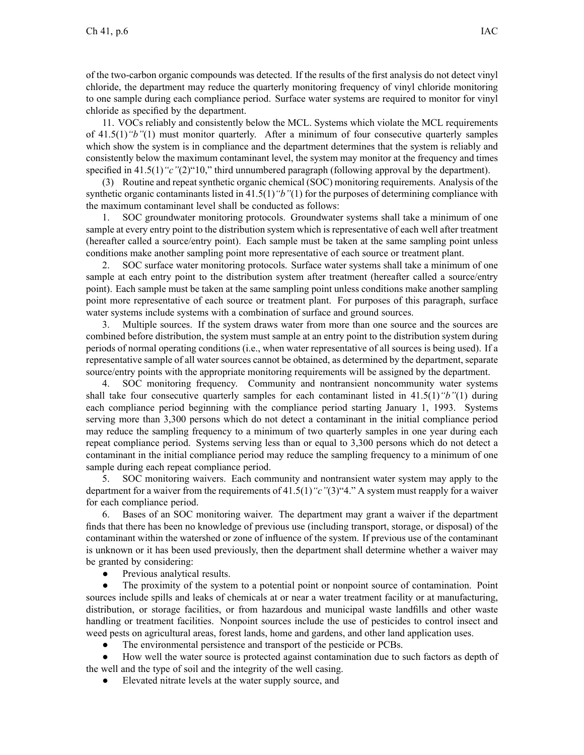of the two-carbon organic compounds was detected. If the results of the first analysis do not detect vinyl chloride, the department may reduce the quarterly monitoring frequency of vinyl chloride monitoring to one sample during each compliance period. Surface water systems are required to monitor for vinyl chloride as specified by the department.

11. VOCs reliably and consistently below the MCL. Systems which violate the MCL requirements of 41.5(1)*"b"*(1) must monitor quarterly. After <sup>a</sup> minimum of four consecutive quarterly samples which show the system is in compliance and the department determines that the system is reliably and consistently below the maximum contaminant level, the system may monitor at the frequency and times specified in 41.5(1)<sup>*"c"*(2)<sup>"10</sup>," third unnumbered paragraph (following approval by the department).</sup>

(3) Routine and repea<sup>t</sup> synthetic organic chemical (SOC) monitoring requirements. Analysis of the synthetic organic contaminants listed in 41.5(1)*"b"*(1) for the purposes of determining compliance with the maximum contaminant level shall be conducted as follows:

1. SOC groundwater monitoring protocols. Groundwater systems shall take <sup>a</sup> minimum of one sample at every entry point to the distribution system which is representative of each well after treatment (hereafter called <sup>a</sup> source/entry point). Each sample must be taken at the same sampling point unless conditions make another sampling point more representative of each source or treatment plant.

2. SOC surface water monitoring protocols. Surface water systems shall take <sup>a</sup> minimum of one sample at each entry point to the distribution system after treatment (hereafter called a source/entry point). Each sample must be taken at the same sampling point unless conditions make another sampling point more representative of each source or treatment plant. For purposes of this paragraph, surface water systems include systems with <sup>a</sup> combination of surface and ground sources.

3. Multiple sources. If the system draws water from more than one source and the sources are combined before distribution, the system must sample at an entry point to the distribution system during periods of normal operating conditions (i.e., when water representative of all sources is being used). If <sup>a</sup> representative sample of all water sources cannot be obtained, as determined by the department, separate source/entry points with the appropriate monitoring requirements will be assigned by the department.

4. SOC monitoring frequency. Community and nontransient noncommunity water systems shall take four consecutive quarterly samples for each contaminant listed in 41.5(1)*"b"*(1) during each compliance period beginning with the compliance period starting January 1, 1993. Systems serving more than 3,300 persons which do not detect <sup>a</sup> contaminant in the initial compliance period may reduce the sampling frequency to <sup>a</sup> minimum of two quarterly samples in one year during each repea<sup>t</sup> compliance period. Systems serving less than or equal to 3,300 persons which do not detect <sup>a</sup> contaminant in the initial compliance period may reduce the sampling frequency to <sup>a</sup> minimum of one sample during each repea<sup>t</sup> compliance period.

5. SOC monitoring waivers. Each community and nontransient water system may apply to the department for <sup>a</sup> waiver from the requirements of 41.5(1)*"c"*(3)"4." A system must reapply for <sup>a</sup> waiver for each compliance period.

6. Bases of an SOC monitoring waiver. The department may gran<sup>t</sup> <sup>a</sup> waiver if the department finds that there has been no knowledge of previous use (including transport, storage, or disposal) of the contaminant within the watershed or zone of influence of the system. If previous use of the contaminant is unknown or it has been used previously, then the department shall determine whether <sup>a</sup> waiver may be granted by considering:

 $\bullet$ Previous analytical results.

● The proximity of the system to <sup>a</sup> potential point or nonpoint source of contamination. Point sources include spills and leaks of chemicals at or near <sup>a</sup> water treatment facility or at manufacturing, distribution, or storage facilities, or from hazardous and municipal waste landfills and other waste handling or treatment facilities. Nonpoint sources include the use of pesticides to control insect and weed pests on agricultural areas, forest lands, home and gardens, and other land application uses.

 $\bullet$ The environmental persistence and transport of the pesticide or PCBs.

● How well the water source is protected against contamination due to such factors as depth of the well and the type of soil and the integrity of the well casing.

●Elevated nitrate levels at the water supply source, and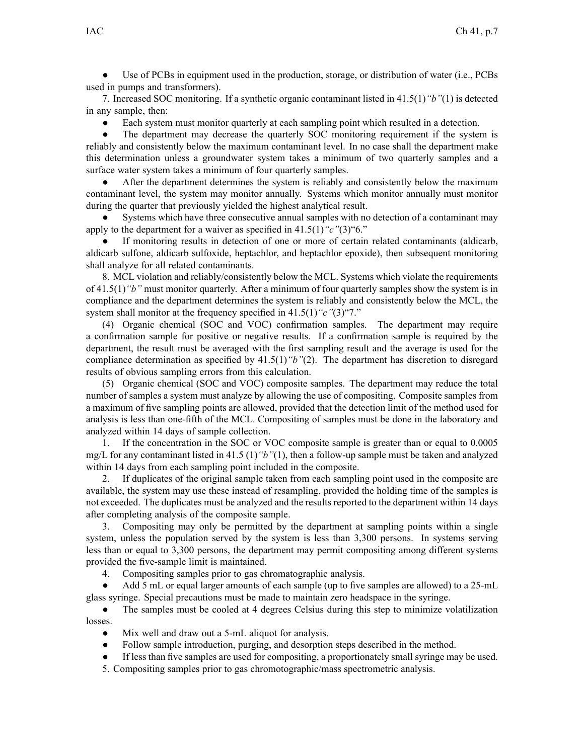$\bullet$  Use of PCBs in equipment used in the production, storage, or distribution of water (i.e., PCBs used in pumps and transformers).

7. Increased SOC monitoring. If <sup>a</sup> synthetic organic contaminant listed in 41.5(1)*"b"*(1) is detected in any sample, then:

 $\bullet$ Each system must monitor quarterly at each sampling point which resulted in <sup>a</sup> detection.

● The department may decrease the quarterly SOC monitoring requirement if the system is reliably and consistently below the maximum contaminant level. In no case shall the department make this determination unless <sup>a</sup> groundwater system takes <sup>a</sup> minimum of two quarterly samples and <sup>a</sup> surface water system takes <sup>a</sup> minimum of four quarterly samples.

● After the department determines the system is reliably and consistently below the maximum contaminant level, the system may monitor annually. Systems which monitor annually must monitor during the quarter that previously yielded the highest analytical result.

● Systems which have three consecutive annual samples with no detection of <sup>a</sup> contaminant may apply to the department for <sup>a</sup> waiver as specified in 41.5(1)*"c"*(3)"6."

● If monitoring results in detection of one or more of certain related contaminants (aldicarb, aldicarb sulfone, aldicarb sulfoxide, heptachlor, and heptachlor epoxide), then subsequent monitoring shall analyze for all related contaminants.

8. MCL violation and reliably/consistently below the MCL. Systems which violate the requirements of 41.5(1)*"b"* must monitor quarterly. After <sup>a</sup> minimum of four quarterly samples show the system is in compliance and the department determines the system is reliably and consistently below the MCL, the system shall monitor at the frequency specified in 41.5(1)*"c"*(3)"7."

(4) Organic chemical (SOC and VOC) confirmation samples. The department may require <sup>a</sup> confirmation sample for positive or negative results. If <sup>a</sup> confirmation sample is required by the department, the result must be averaged with the first sampling result and the average is used for the compliance determination as specified by 41.5(1)*"b"*(2). The department has discretion to disregard results of obvious sampling errors from this calculation.

(5) Organic chemical (SOC and VOC) composite samples. The department may reduce the total number of samples <sup>a</sup> system must analyze by allowing the use of compositing. Composite samples from <sup>a</sup> maximum of five sampling points are allowed, provided that the detection limit of the method used for analysis is less than one-fifth of the MCL. Compositing of samples must be done in the laboratory and analyzed within 14 days of sample collection.

1. If the concentration in the SOC or VOC composite sample is greater than or equal to 0.0005 mg/L for any contaminant listed in 41.5 (1)*"b"*(1), then <sup>a</sup> follow-up sample must be taken and analyzed within 14 days from each sampling point included in the composite.

2. If duplicates of the original sample taken from each sampling point used in the composite are available, the system may use these instead of resampling, provided the holding time of the samples is not exceeded. The duplicates must be analyzed and the results reported to the department within 14 days after completing analysis of the composite sample.

3. Compositing may only be permitted by the department at sampling points within <sup>a</sup> single system, unless the population served by the system is less than 3,300 persons. In systems serving less than or equal to 3,300 persons, the department may permit compositing among different systems provided the five-sample limit is maintained.

4. Compositing samples prior to gas chromatographic analysis.

● Add 5 mL or equal larger amounts of each sample (up to five samples are allowed) to <sup>a</sup> 25-mL glass syringe. Special precautions must be made to maintain zero headspace in the syringe.

● The samples must be cooled at 4 degrees Celsius during this step to minimize volatilization losses.

- ●Mix well and draw out <sup>a</sup> 5-mL aliquot for analysis.
- $\bullet$ Follow sample introduction, purging, and desorption steps described in the method.
- ●If less than five samples are used for compositing, <sup>a</sup> proportionately small syringe may be used.
- 5. Compositing samples prior to gas chromotographic/mass spectrometric analysis.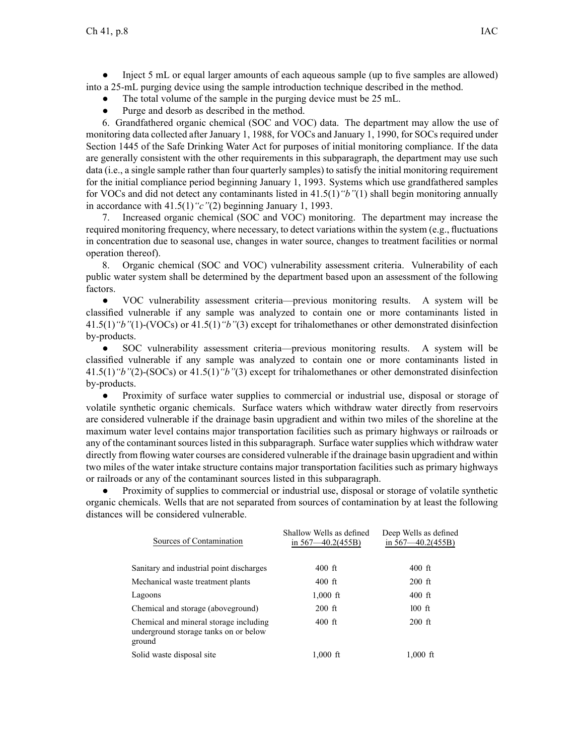● Inject 5 mL or equal larger amounts of each aqueous sample (up to five samples are allowed) into <sup>a</sup> 25-mL purging device using the sample introduction technique described in the method.

- ●The total volume of the sample in the purging device must be 25 mL.
- ●Purge and desorb as described in the method.

6. Grandfathered organic chemical (SOC and VOC) data. The department may allow the use of monitoring data collected after January 1, 1988, for VOCs and January 1, 1990, for SOCs required under Section 1445 of the Safe Drinking Water Act for purposes of initial monitoring compliance. If the data are generally consistent with the other requirements in this subparagraph, the department may use such data (i.e., <sup>a</sup> single sample rather than four quarterly samples) to satisfy the initial monitoring requirement for the initial compliance period beginning January 1, 1993. Systems which use grandfathered samples for VOCs and did not detect any contaminants listed in 41.5(1)*"b"*(1) shall begin monitoring annually in accordance with 41.5(1)*"c"*(2) beginning January 1, 1993.

7. Increased organic chemical (SOC and VOC) monitoring. The department may increase the required monitoring frequency, where necessary, to detect variations within the system (e.g., fluctuations in concentration due to seasonal use, changes in water source, changes to treatment facilities or normal operation thereof).

8. Organic chemical (SOC and VOC) vulnerability assessment criteria. Vulnerability of each public water system shall be determined by the department based upon an assessment of the following factors.

● VOC vulnerability assessment criteria—previous monitoring results. A system will be classified vulnerable if any sample was analyzed to contain one or more contaminants listed in 41.5(1)*"b"*(1)-(VOCs) or 41.5(1)*"b"*(3) excep<sup>t</sup> for trihalomethanes or other demonstrated disinfection by-products.

● SOC vulnerability assessment criteria—previous monitoring results. A system will be classified vulnerable if any sample was analyzed to contain one or more contaminants listed in 41.5(1)*"b"*(2)-(SOCs) or 41.5(1)*"b"*(3) excep<sup>t</sup> for trihalomethanes or other demonstrated disinfection by-products.

 $\bullet$  Proximity of surface water supplies to commercial or industrial use, disposal or storage of volatile synthetic organic chemicals. Surface waters which withdraw water directly from reservoirs are considered vulnerable if the drainage basin upgradient and within two miles of the shoreline at the maximum water level contains major transportation facilities such as primary highways or railroads or any of the contaminant sources listed in this subparagraph. Surface water supplies which withdraw water directly from flowing water courses are considered vulnerable if the drainage basin upgradient and within two miles of the water intake structure contains major transportation facilities such as primary highways or railroads or any of the contaminant sources listed in this subparagraph.

● Proximity of supplies to commercial or industrial use, disposal or storage of volatile synthetic organic chemicals. Wells that are not separated from sources of contamination by at least the following distances will be considered vulnerable.

| Sources of Contamination                                                                  | Shallow Wells as defined<br>in $567 - 40.2(455B)$ | Deep Wells as defined<br>in $567 - 40.2(455B)$ |
|-------------------------------------------------------------------------------------------|---------------------------------------------------|------------------------------------------------|
| Sanitary and industrial point discharges                                                  | $400$ ft                                          | $400$ ft                                       |
| Mechanical waste treatment plants                                                         | $400$ ft                                          | $200$ ft                                       |
| Lagoons                                                                                   | $1,000$ ft                                        | $400$ ft                                       |
| Chemical and storage (aboveground)                                                        | $200$ ft                                          | $100$ ft                                       |
| Chemical and mineral storage including<br>underground storage tanks on or below<br>ground | $400$ ft                                          | $200$ ft                                       |
| Solid waste disposal site                                                                 | $1,000$ ft                                        | $1,000$ ft                                     |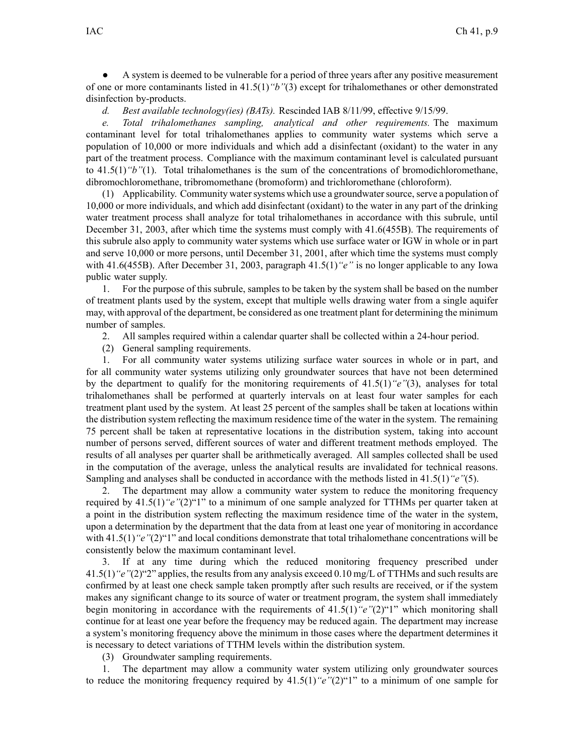● A system is deemed to be vulnerable for <sup>a</sup> period of three years after any positive measurement of one or more contaminants listed in 41.5(1)*"b"*(3) excep<sup>t</sup> for trihalomethanes or other demonstrated disinfection by-products.

*d. Best available technology(ies) (BATs).* Rescinded IAB 8/11/99, effective 9/15/99.

*e. Total trihalomethanes sampling, analytical and other requirements.* The maximum contaminant level for total trihalomethanes applies to community water systems which serve <sup>a</sup> population of 10,000 or more individuals and which add <sup>a</sup> disinfectant (oxidant) to the water in any par<sup>t</sup> of the treatment process. Compliance with the maximum contaminant level is calculated pursuan<sup>t</sup> to 41.5(1)*"b"*(1). Total trihalomethanes is the sum of the concentrations of bromodichloromethane, dibromochloromethane, tribromomethane (bromoform) and trichloromethane (chloroform).

(1) Applicability. Community watersystems which use <sup>a</sup> groundwatersource,serve <sup>a</sup> population of 10,000 or more individuals, and which add disinfectant (oxidant) to the water in any par<sup>t</sup> of the drinking water treatment process shall analyze for total trihalomethanes in accordance with this subrule, until December 31, 2003, after which time the systems must comply with 41.6(455B). The requirements of this subrule also apply to community water systems which use surface water or IGW in whole or in par<sup>t</sup> and serve 10,000 or more persons, until December 31, 2001, after which time the systems must comply with 41.6(455B). After December 31, 2003, paragraph 41.5(1)*"e"* is no longer applicable to any Iowa public water supply.

1. For the purpose of this subrule, samples to be taken by the system shall be based on the number of treatment plants used by the system, excep<sup>t</sup> that multiple wells drawing water from <sup>a</sup> single aquifer may, with approval of the department, be considered as one treatment plant for determining the minimum number of samples.

- 2. All samples required within <sup>a</sup> calendar quarter shall be collected within <sup>a</sup> 24-hour period.
- (2) General sampling requirements.

1. For all community water systems utilizing surface water sources in whole or in part, and for all community water systems utilizing only groundwater sources that have not been determined by the department to qualify for the monitoring requirements of 41.5(1)*"e"*(3), analyses for total trihalomethanes shall be performed at quarterly intervals on at least four water samples for each treatment plant used by the system. At least 25 percen<sup>t</sup> of the samples shall be taken at locations within the distribution system reflecting the maximum residence time of the water in the system. The remaining 75 percen<sup>t</sup> shall be taken at representative locations in the distribution system, taking into account number of persons served, different sources of water and different treatment methods employed. The results of all analyses per quarter shall be arithmetically averaged. All samples collected shall be used in the computation of the average, unless the analytical results are invalidated for technical reasons. Sampling and analyses shall be conducted in accordance with the methods listed in 41.5(1)*"e"*(5).

2. The department may allow <sup>a</sup> community water system to reduce the monitoring frequency required by 41.5(1)*"e"*(2)"1" to <sup>a</sup> minimum of one sample analyzed for TTHMs per quarter taken at <sup>a</sup> point in the distribution system reflecting the maximum residence time of the water in the system, upon <sup>a</sup> determination by the department that the data from at least one year of monitoring in accordance with 41.5(1) "*e*"(2)"1" and local conditions demonstrate that total trihalomethane concentrations will be consistently below the maximum contaminant level.

3. If at any time during which the reduced monitoring frequency prescribed under 41.5(1)*"e"*(2)"2" applies, the resultsfrom any analysis exceed 0.10 mg/L of TTHMs and such results are confirmed by at least one check sample taken promptly after such results are received, or if the system makes any significant change to its source of water or treatment program, the system shall immediately begin monitoring in accordance with the requirements of 41.5(1)*"e"*(2)"1" which monitoring shall continue for at least one year before the frequency may be reduced again. The department may increase <sup>a</sup> system's monitoring frequency above the minimum in those cases where the department determines it is necessary to detect variations of TTHM levels within the distribution system.

(3) Groundwater sampling requirements.

1. The department may allow <sup>a</sup> community water system utilizing only groundwater sources to reduce the monitoring frequency required by 41.5(1)*"e"*(2)"1" to <sup>a</sup> minimum of one sample for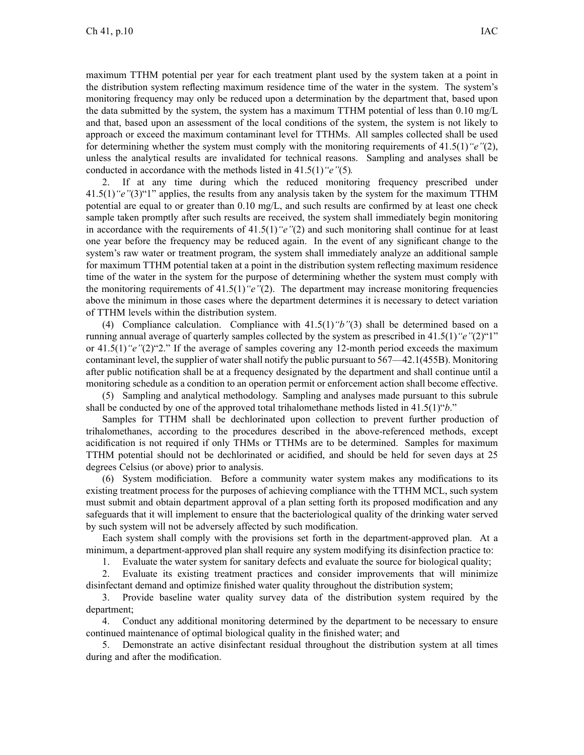maximum TTHM potential per year for each treatment plant used by the system taken at <sup>a</sup> point in the distribution system reflecting maximum residence time of the water in the system. The system's monitoring frequency may only be reduced upon <sup>a</sup> determination by the department that, based upon the data submitted by the system, the system has <sup>a</sup> maximum TTHM potential of less than 0.10 mg/L and that, based upon an assessment of the local conditions of the system, the system is not likely to approach or exceed the maximum contaminant level for TTHMs. All samples collected shall be used for determining whether the system must comply with the monitoring requirements of 41.5(1)*"e"*(2), unless the analytical results are invalidated for technical reasons. Sampling and analyses shall be conducted in accordance with the methods listed in 41.5(1)*"e"*(5)*.*

2. If at any time during which the reduced monitoring frequency prescribed under 41.5(1)*"e"*(3)"1" applies, the results from any analysis taken by the system for the maximum TTHM potential are equal to or greater than 0.10 mg/L, and such results are confirmed by at least one check sample taken promptly after such results are received, the system shall immediately begin monitoring in accordance with the requirements of 41.5(1)*"e"*(2) and such monitoring shall continue for at least one year before the frequency may be reduced again. In the event of any significant change to the system's raw water or treatment program, the system shall immediately analyze an additional sample for maximum TTHM potential taken at <sup>a</sup> point in the distribution system reflecting maximum residence time of the water in the system for the purpose of determining whether the system must comply with the monitoring requirements of 41.5(1)*"e"*(2). The department may increase monitoring frequencies above the minimum in those cases where the department determines it is necessary to detect variation of TTHM levels within the distribution system.

(4) Compliance calculation. Compliance with 41.5(1)*"b"*(3) shall be determined based on <sup>a</sup> running annual average of quarterly samples collected by the system as prescribed in 41.5(1)*"e"*(2)"1" or 41.5(1)*"e"*(2)"2." If the average of samples covering any 12-month period exceeds the maximum contaminant level, the supplier of water shall notify the public pursuan<sup>t</sup> to 567—42.1(455B). Monitoring after public notification shall be at <sup>a</sup> frequency designated by the department and shall continue until <sup>a</sup> monitoring schedule as <sup>a</sup> condition to an operation permit or enforcement action shall become effective.

(5) Sampling and analytical methodology. Sampling and analyses made pursuan<sup>t</sup> to this subrule shall be conducted by one of the approved total trihalomethane methods listed in 41.5(1)"*b*."

Samples for TTHM shall be dechlorinated upon collection to preven<sup>t</sup> further production of trihalomethanes, according to the procedures described in the above-referenced methods, excep<sup>t</sup> acidification is not required if only THMs or TTHMs are to be determined. Samples for maximum TTHM potential should not be dechlorinated or acidified, and should be held for seven days at 25 degrees Celsius (or above) prior to analysis.

(6) System modificiation. Before <sup>a</sup> community water system makes any modifications to its existing treatment process for the purposes of achieving compliance with the TTHM MCL, such system must submit and obtain department approval of <sup>a</sup> plan setting forth its proposed modification and any safeguards that it will implement to ensure that the bacteriological quality of the drinking water served by such system will not be adversely affected by such modification.

Each system shall comply with the provisions set forth in the department-approved plan. At <sup>a</sup> minimum, <sup>a</sup> department-approved plan shall require any system modifying its disinfection practice to:

1. Evaluate the water system for sanitary defects and evaluate the source for biological quality;

2. Evaluate its existing treatment practices and consider improvements that will minimize disinfectant demand and optimize finished water quality throughout the distribution system;

3. Provide baseline water quality survey data of the distribution system required by the department;

4. Conduct any additional monitoring determined by the department to be necessary to ensure continued maintenance of optimal biological quality in the finished water; and

5. Demonstrate an active disinfectant residual throughout the distribution system at all times during and after the modification.